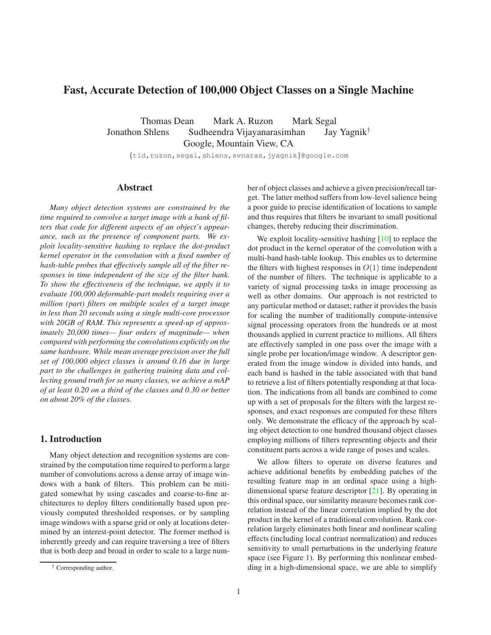# <span id="page-0-0"></span>**Fast, Accurate Detection of 100,000 Object Classes on a Single Machine**

Thomas Dean Mark A. Ruzon Mark Segal Jonathon Shlens Sudheendra Vijayanarasimhan Jay Yagnik<sup>†</sup> Google, Mountain View, CA

{tld,ruzon,segal,shlens,svnaras,jyagnik}@google.com

# **Abstract**

*Many object detection systems are constrained by the time required to convolve a target image with a bank of filters that code for different aspects of an object's appearance, such as the presence of component parts. We exploit locality-sensitive hashing to replace the dot-product kernel operator in the convolution with a fixed number of hash-table probes that effectively sample all of the filter responses in time independent of the size of the filter bank. To show the effectiveness of the technique, we apply it to evaluate 100,000 deformable-part models requiring over a million (part) filters on multiple scales of a target image in less than 20 seconds using a single multi-core processor with 20GB of RAM. This represents a speed-up of approximately 20,000 times— four orders of magnitude— when compared with performing the convolutions explicitly on the same hardware. While mean average precision over the full set of 100,000 object classes is around 0.16 due in large part to the challenges in gathering training data and collecting ground truth for so many classes, we achieve a mAP of at least 0.20 on a third of the classes and 0.30 or better on about 20% of the classes.*

### **1. Introduction**

Many object detection and recognition systems are constrained by the computation time required to perform a large number of convolutions across a dense array of image windows with a bank of filters. This problem can be mitigated somewhat by using cascades and coarse-to-fine architectures to deploy filters conditionally based upon previously computed thresholded responses, or by sampling image windows with a sparse grid or only at locations determined by an interest-point detector. The former method is inherently greedy and can require traversing a tree of filters that is both deep and broad in order to scale to a large number of object classes and achieve a given precision/recall target. The latter method suffers from low-level salience being a poor guide to precise identification of locations to sample and thus requires that filters be invariant to small positional changes, thereby reducing their discrimination.

We exploit locality-sensitive hashing [\[10\]](#page-7-0) to replace the dot product in the kernel operator of the convolution with a multi-band hash-table lookup. This enables us to determine the filters with highest responses in  $O(1)$  time independent of the number of filters. The technique is applicable to a variety of signal processing tasks in image processing as well as other domains. Our approach is not restricted to any particular method or dataset; rather it provides the basis for scaling the number of traditionally compute-intensive signal processing operators from the hundreds or at most thousands applied in current practice to millions. All filters are effectively sampled in one pass over the image with a single probe per location/image window. A descriptor generated from the image window is divided into bands, and each band is hashed in the table associated with that band to retrieve a list of filters potentially responding at that location. The indications from all bands are combined to come up with a set of proposals for the filters with the largest responses, and exact responses are computed for these filters only. We demonstrate the efficacy of the approach by scaling object detection to one hundred thousand object classes employing millions of filters representing objects and their constituent parts across a wide range of poses and scales.

We allow filters to operate on diverse features and achieve additional benefits by embedding patches of the resulting feature map in an ordinal space using a highdimensional sparse feature descriptor [\[21\]](#page-7-1). By operating in this ordinal space, our similarity measure becomes rank correlation instead of the linear correlation implied by the dot product in the kernel of a traditional convolution. Rank correlation largely eliminates both linear and nonlinear scaling effects (including local contrast normalization) and reduces sensitivity to small perturbations in the underlying feature space (see Figure [1\)](#page-2-0). By performing this nonlinear embedding in a high-dimensional space, we are able to simplify

<sup>†</sup> Corresponding author.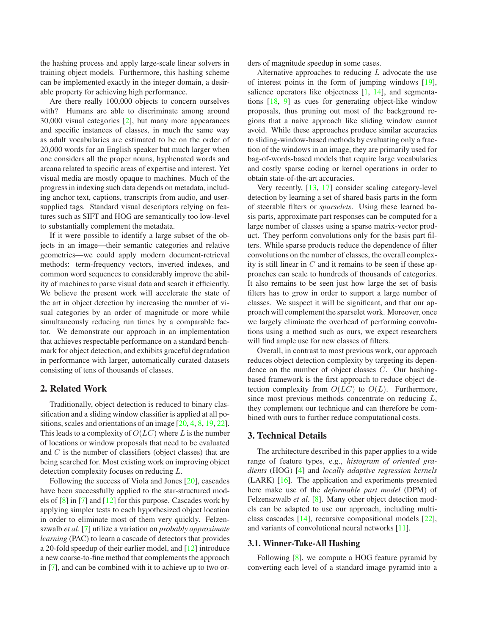<span id="page-1-0"></span>the hashing process and apply large-scale linear solvers in training object models. Furthermore, this hashing scheme can be implemented exactly in the integer domain, a desirable property for achieving high performance.

Are there really 100,000 objects to concern ourselves with? Humans are able to discriminate among around 30,000 visual categories [\[2\]](#page-7-2), but many more appearances and specific instances of classes, in much the same way as adult vocabularies are estimated to be on the order of 20,000 words for an English speaker but much larger when one considers all the proper nouns, hyphenated words and arcana related to specific areas of expertise and interest. Yet visual media are mostly opaque to machines. Much of the progress in indexing such data depends on metadata, including anchor text, captions, transcripts from audio, and usersupplied tags. Standard visual descriptors relying on features such as SIFT and HOG are semantically too low-level to substantially complement the metadata.

If it were possible to identify a large subset of the objects in an image—their semantic categories and relative geometries—we could apply modern document-retrieval methods: term-frequency vectors, inverted indexes, and common word sequences to considerably improve the ability of machines to parse visual data and search it efficiently. We believe the present work will accelerate the state of the art in object detection by increasing the number of visual categories by an order of magnitude or more while simultaneously reducing run times by a comparable factor. We demonstrate our approach in an implementation that achieves respectable performance on a standard benchmark for object detection, and exhibits graceful degradation in performance with larger, automatically curated datasets consisting of tens of thousands of classes.

### **2. Related Work**

Traditionally, object detection is reduced to binary classification and a sliding window classifier is applied at all positions, scales and orientations of an image [\[20,](#page-7-3) [4,](#page-7-4) [8,](#page-7-5) [19,](#page-7-6) [22\]](#page-7-7). This leads to a complexity of  $O(LC)$  where L is the number of locations or window proposals that need to be evaluated and C is the number of classifiers (object classes) that are being searched for. Most existing work on improving object detection complexity focuses on reducing L.

Following the success of Viola and Jones [\[20\]](#page-7-3), cascades have been successfully applied to the star-structured models of [\[8\]](#page-7-5) in [\[7\]](#page-7-8) and [\[12\]](#page-7-9) for this purpose. Cascades work by applying simpler tests to each hypothesized object location in order to eliminate most of them very quickly. Felzenszwalb *et al*. [\[7\]](#page-7-8) utilize a variation on *probably approximate learning* (PAC) to learn a cascade of detectors that provides a 20-fold speedup of their earlier model, and [\[12\]](#page-7-9) introduce a new coarse-to-fine method that complements the approach in [\[7\]](#page-7-8), and can be combined with it to achieve up to two orders of magnitude speedup in some cases.

Alternative approaches to reducing  $L$  advocate the use of interest points in the form of jumping windows [\[19\]](#page-7-6), salience operators like objectness [\[1,](#page-7-10) [14\]](#page-7-11), and segmentations [\[18,](#page-7-12) [9\]](#page-7-13) as cues for generating object-like window proposals, thus pruning out most of the background regions that a naive approach like sliding window cannot avoid. While these approaches produce similar accuracies to sliding-window-based methods by evaluating only a fraction of the windows in an image, they are primarily used for bag-of-words-based models that require large vocabularies and costly sparse coding or kernel operations in order to obtain state-of-the-art accuracies.

Very recently, [\[13,](#page-7-14) [17\]](#page-7-15) consider scaling category-level detection by learning a set of shared basis parts in the form of steerable filters or *sparselets*. Using these learned basis parts, approximate part responses can be computed for a large number of classes using a sparse matrix-vector product. They perform convolutions only for the basis part filters. While sparse products reduce the dependence of filter convolutions on the number of classes, the overall complexity is still linear in  $C$  and it remains to be seen if these approaches can scale to hundreds of thousands of categories. It also remains to be seen just how large the set of basis filters has to grow in order to support a large number of classes. We suspect it will be significant, and that our approach will complement the sparselet work. Moreover, once we largely eliminate the overhead of performing convolutions using a method such as ours, we expect researchers will find ample use for new classes of filters.

Overall, in contrast to most previous work, our approach reduces object detection complexity by targeting its dependence on the number of object classes C. Our hashingbased framework is the first approach to reduce object detection complexity from  $O(LC)$  to  $O(L)$ . Furthermore, since most previous methods concentrate on reducing  $L$ , they complement our technique and can therefore be combined with ours to further reduce computational costs.

### **3. Technical Details**

The architecture described in this paper applies to a wide range of feature types, e.g., *histogram of oriented gradients* (HOG) [\[4\]](#page-7-4) and *locally adaptive regression kernels* (LARK) [\[16\]](#page-7-16). The application and experiments presented here make use of the *deformable part model* (DPM) of Felzenszwalb *et al.* [\[8\]](#page-7-5). Many other object detection models can be adapted to use our approach, including multiclass cascades [\[14\]](#page-7-11), recursive compositional models [\[22\]](#page-7-7), and variants of convolutional neural networks [\[11\]](#page-7-17).

### **3.1. Winner-Take-All Hashing**

Following [\[8\]](#page-7-5), we compute a HOG feature pyramid by converting each level of a standard image pyramid into a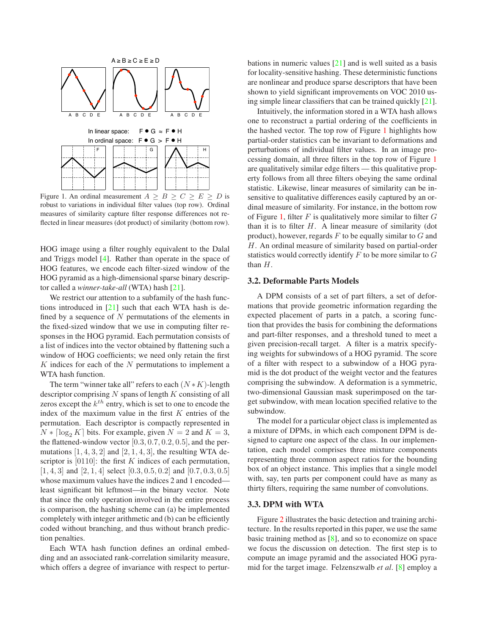<span id="page-2-1"></span>

<span id="page-2-0"></span>Figure 1. An ordinal measurement  $A > B > C > E > D$  is robust to variations in individual filter values (top row). Ordinal measures of similarity capture filter response differences not reflected in linear measures (dot product) of similarity (bottom row).

HOG image using a filter roughly equivalent to the Dalal and Triggs model [\[4\]](#page-7-4). Rather than operate in the space of HOG features, we encode each filter-sized window of the HOG pyramid as a high-dimensional sparse binary descriptor called a *winner-take-all* (WTA) hash [\[21\]](#page-7-1).

We restrict our attention to a subfamily of the hash functions introduced in  $[21]$  such that each WTA hash is defined by a sequence of  $N$  permutations of the elements in the fixed-sized window that we use in computing filter responses in the HOG pyramid. Each permutation consists of a list of indices into the vector obtained by flattening such a window of HOG coefficients; we need only retain the first  $K$  indices for each of the  $N$  permutations to implement a WTA hash function.

The term "winner take all" refers to each  $(N*K)$ -length descriptor comprising  $N$  spans of length  $K$  consisting of all zeros except the  $k^{th}$  entry, which is set to one to encode the index of the maximum value in the first  $K$  entries of the permutation. Each descriptor is compactly represented in  $N * \lceil \log_2 K \rceil$  bits. For example, given  $N = 2$  and  $K = 3$ , the flattened-window vector  $[0.3, 0.7, 0.2, 0.5]$ , and the permutations  $[1, 4, 3, 2]$  and  $[2, 1, 4, 3]$ , the resulting WTA descriptor is  $[0110]$ : the first K indices of each permutation,  $[1, 4, 3]$  and  $[2, 1, 4]$  select  $[0.3, 0.5, 0.2]$  and  $[0.7, 0.3, 0.5]$ whose maximum values have the indices 2 and 1 encoded least significant bit leftmost—in the binary vector. Note that since the only operation involved in the entire process is comparison, the hashing scheme can (a) be implemented completely with integer arithmetic and (b) can be efficiently coded without branching, and thus without branch prediction penalties.

Each WTA hash function defines an ordinal embedding and an associated rank-correlation similarity measure, which offers a degree of invariance with respect to perturbations in numeric values  $[21]$  and is well suited as a basis for locality-sensitive hashing. These deterministic functions are nonlinear and produce sparse descriptors that have been shown to yield significant improvements on VOC 2010 using simple linear classifiers that can be trained quickly [\[21\]](#page-7-1).

Intuitively, the information stored in a WTA hash allows one to reconstruct a partial ordering of the coefficients in the hashed vector. The top row of Figure [1](#page-2-0) highlights how partial-order statistics can be invariant to deformations and perturbations of individual filter values. In an image processing domain, all three filters in the top row of Figure [1](#page-2-0) are qualitatively similar edge filters — this qualitative property follows from all three filters obeying the same ordinal statistic. Likewise, linear measures of similarity can be insensitive to qualitative differences easily captured by an ordinal measure of similarity. For instance, in the bottom row of Figure [1,](#page-2-0) filter  $F$  is qualitatively more similar to filter  $G$ than it is to filter  $H$ . A linear measure of similarity (dot product), however, regards  $F$  to be equally similar to  $G$  and H. An ordinal measure of similarity based on partial-order statistics would correctly identify  $F$  to be more similar to  $G$ than H.

#### **3.2. Deformable Parts Models**

A DPM consists of a set of part filters, a set of deformations that provide geometric information regarding the expected placement of parts in a patch, a scoring function that provides the basis for combining the deformations and part-filter responses, and a threshold tuned to meet a given precision-recall target. A filter is a matrix specifying weights for subwindows of a HOG pyramid. The score of a filter with respect to a subwindow of a HOG pyramid is the dot product of the weight vector and the features comprising the subwindow. A deformation is a symmetric, two-dimensional Gaussian mask superimposed on the target subwindow, with mean location specified relative to the subwindow.

The model for a particular object class is implemented as a mixture of DPMs, in which each component DPM is designed to capture one aspect of the class. In our implementation, each model comprises three mixture components representing three common aspect ratios for the bounding box of an object instance. This implies that a single model with, say, ten parts per component could have as many as thirty filters, requiring the same number of convolutions.

### **3.3. DPM with WTA**

Figure [2](#page-3-0) illustrates the basic detection and training architecture. In the results reported in this paper, we use the same basic training method as  $[8]$ , and so to economize on space we focus the discussion on detection. The first step is to compute an image pyramid and the associated HOG pyramid for the target image. Felzenszwalb *et al*. [\[8\]](#page-7-5) employ a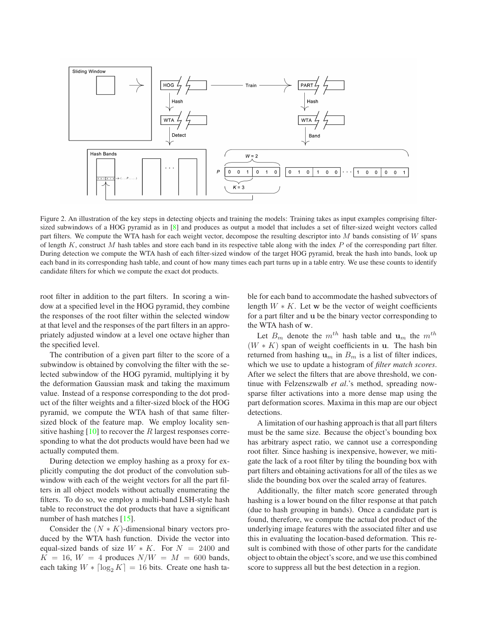<span id="page-3-1"></span>

<span id="page-3-0"></span>Figure 2. An illustration of the key steps in detecting objects and training the models: Training takes as input examples comprising filtersized subwindows of a HOG pyramid as in [\[8\]](#page-7-5) and produces as output a model that includes a set of filter-sized weight vectors called part filters. We compute the WTA hash for each weight vector, decompose the resulting descriptor into M bands consisting of W spans of length  $K$ , construct M hash tables and store each band in its respective table along with the index  $P$  of the corresponding part filter. During detection we compute the WTA hash of each filter-sized window of the target HOG pyramid, break the hash into bands, look up each band in its corresponding hash table, and count of how many times each part turns up in a table entry. We use these counts to identify candidate filters for which we compute the exact dot products.

root filter in addition to the part filters. In scoring a window at a specified level in the HOG pyramid, they combine the responses of the root filter within the selected window at that level and the responses of the part filters in an appropriately adjusted window at a level one octave higher than the specified level.

The contribution of a given part filter to the score of a subwindow is obtained by convolving the filter with the selected subwindow of the HOG pyramid, multiplying it by the deformation Gaussian mask and taking the maximum value. Instead of a response corresponding to the dot product of the filter weights and a filter-sized block of the HOG pyramid, we compute the WTA hash of that same filtersized block of the feature map. We employ locality sensitive hashing  $[10]$  to recover the R largest responses corresponding to what the dot products would have been had we actually computed them.

During detection we employ hashing as a proxy for explicitly computing the dot product of the convolution subwindow with each of the weight vectors for all the part filters in all object models without actually enumerating the filters. To do so, we employ a multi-band LSH-style hash table to reconstruct the dot products that have a significant number of hash matches [\[15\]](#page-7-18).

Consider the  $(N * K)$ -dimensional binary vectors produced by the WTA hash function. Divide the vector into equal-sized bands of size  $W \ast K$ . For  $N = 2400$  and  $K = 16$ ,  $W = 4$  produces  $N/W = M = 600$  bands, each taking  $W * \lceil \log_2 K \rceil = 16$  bits. Create one hash table for each band to accommodate the hashed subvectors of length  $W \ast K$ . Let w be the vector of weight coefficients for a part filter and u be the binary vector corresponding to the WTA hash of w.

Let  $B_m$  denote the  $m^{th}$  hash table and  $u_m$  the  $m^{th}$  $(W * K)$  span of weight coefficients in u. The hash bin returned from hashing  $\mathbf{u}_m$  in  $B_m$  is a list of filter indices, which we use to update a histogram of *filter match scores*. After we select the filters that are above threshold, we continue with Felzenszwalb *et al*.'s method, spreading nowsparse filter activations into a more dense map using the part deformation scores. Maxima in this map are our object detections.

A limitation of our hashing approach is that all part filters must be the same size. Because the object's bounding box has arbitrary aspect ratio, we cannot use a corresponding root filter. Since hashing is inexpensive, however, we mitigate the lack of a root filter by tiling the bounding box with part filters and obtaining activations for all of the tiles as we slide the bounding box over the scaled array of features.

Additionally, the filter match score generated through hashing is a lower bound on the filter response at that patch (due to hash grouping in bands). Once a candidate part is found, therefore, we compute the actual dot product of the underlying image features with the associated filter and use this in evaluating the location-based deformation. This result is combined with those of other parts for the candidate object to obtain the object's score, and we use this combined score to suppress all but the best detection in a region.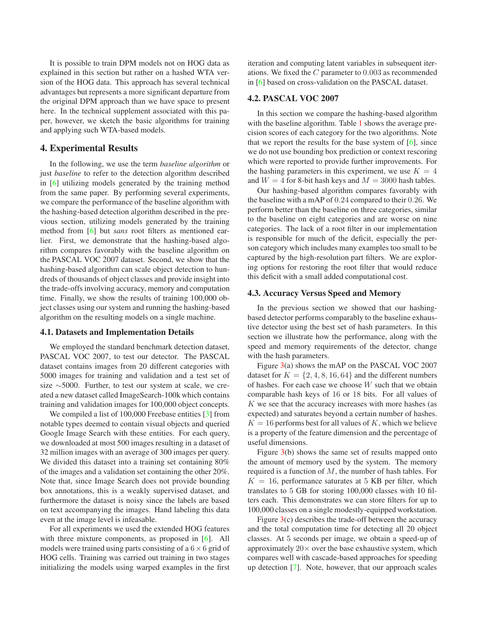<span id="page-4-1"></span>It is possible to train DPM models not on HOG data as explained in this section but rather on a hashed WTA version of the HOG data. This approach has several technical advantages but represents a more significant departure from the original DPM approach than we have space to present here. In the technical supplement associated with this paper, however, we sketch the basic algorithms for training and applying such WTA-based models.

# **4. Experimental Results**

In the following, we use the term *baseline algorithm* or just *baseline* to refer to the detection algorithm described in [\[6\]](#page-7-19) utilizing models generated by the training method from the same paper. By performing several experiments, we compare the performance of the baseline algorithm with the hashing-based detection algorithm described in the previous section, utilizing models generated by the training method from [\[6\]](#page-7-19) but *sans* root filters as mentioned earlier. First, we demonstrate that the hashing-based algorithm compares favorably with the baseline algorithm on the PASCAL VOC 2007 dataset. Second, we show that the hashing-based algorithm can scale object detection to hundreds of thousands of object classes and provide insight into the trade-offs involving accuracy, memory and computation time. Finally, we show the results of training 100,000 object classes using our system and running the hashing-based algorithm on the resulting models on a single machine.

#### **4.1. Datasets and Implementation Details**

We employed the standard benchmark detection dataset, PASCAL VOC 2007, to test our detector. The PASCAL dataset contains images from 20 different categories with 5000 images for training and validation and a test set of size ∼5000. Further, to test our system at scale, we created a new dataset called ImageSearch-100k which contains training and validation images for 100,000 object concepts.

We compiled a list of 100,000 Freebase entities [\[3\]](#page-7-20) from notable types deemed to contain visual objects and queried Google Image Search with these entities. For each query, we downloaded at most 500 images resulting in a dataset of 32 million images with an average of 300 images per query. We divided this dataset into a training set containing 80% of the images and a validation set containing the other 20%. Note that, since Image Search does not provide bounding box annotations, this is a weakly supervised dataset, and furthermore the dataset is noisy since the labels are based on text accompanying the images. Hand labeling this data even at the image level is infeasable.

For all experiments we used the extended HOG features with three mixture components, as proposed in [\[6\]](#page-7-19). All models were trained using parts consisting of a  $6 \times 6$  grid of HOG cells. Training was carried out training in two stages initializing the models using warped examples in the first iteration and computing latent variables in subsequent iterations. We fixed the C parameter to 0.003 as recommended in [\[6\]](#page-7-19) based on cross-validation on the PASCAL dataset.

### **4.2. PASCAL VOC 2007**

In this section we compare the hashing-based algorithm with the baseline algorithm. Table [1](#page-5-0) shows the average precision scores of each category for the two algorithms. Note that we report the results for the base system of  $[6]$ , since we do not use bounding box prediction or context rescoring which were reported to provide further improvements. For the hashing parameters in this experiment, we use  $K = 4$ and  $W = 4$  for 8-bit hash keys and  $M = 3000$  hash tables.

Our hashing-based algorithm compares favorably with the baseline with a mAP of 0.24 compared to their 0.26. We perform better than the baseline on three categories, similar to the baseline on eight categories and are worse on nine categories. The lack of a root filter in our implementation is responsible for much of the deficit, especially the person category which includes many examples too small to be captured by the high-resolution part filters. We are exploring options for restoring the root filter that would reduce this deficit with a small added computational cost.

### <span id="page-4-0"></span>**4.3. Accuracy Versus Speed and Memory**

In the previous section we showed that our hashingbased detector performs comparably to the baseline exhaustive detector using the best set of hash parameters. In this section we illustrate how the performance, along with the speed and memory requirements of the detector, change with the hash parameters.

Figure [3\(](#page-5-1)a) shows the mAP on the PASCAL VOC 2007 dataset for  $K = \{2, 4, 8, 16, 64\}$  and the different numbers of hashes. For each case we choose W such that we obtain comparable hash keys of 16 or 18 bits. For all values of K we see that the accuracy increases with more hashes (as expected) and saturates beyond a certain number of hashes.  $K = 16$  performs best for all values of K, which we believe is a property of the feature dimension and the percentage of useful dimensions.

Figure [3\(](#page-5-1)b) shows the same set of results mapped onto the amount of memory used by the system. The memory required is a function of M, the number of hash tables. For  $K = 16$ , performance saturates at 5 KB per filter, which translates to 5 GB for storing 100,000 classes with 10 filters each. This demonstrates we can store filters for up to 100,000 classes on a single modestly-equipped workstation.

Figure  $3(c)$  $3(c)$  describes the trade-off between the accuracy and the total computation time for detecting all 20 object classes. At 5 seconds per image, we obtain a speed-up of approximately  $20 \times$  over the base exhaustive system, which compares well with cascade-based approaches for speeding up detection [\[7\]](#page-7-8). Note, however, that our approach scales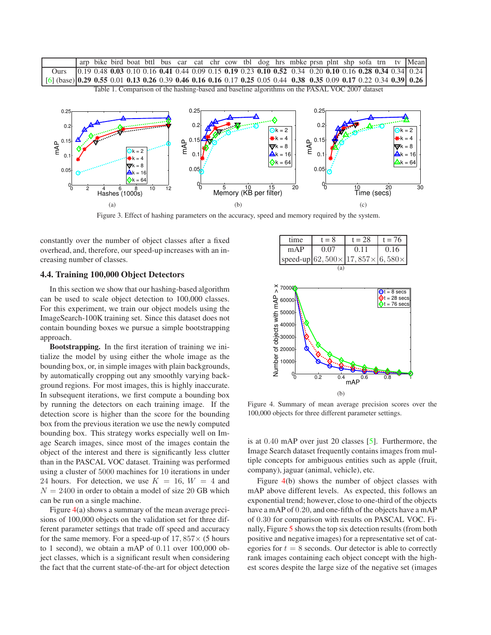<span id="page-5-3"></span>

<span id="page-5-0"></span>

<span id="page-5-1"></span>Figure 3. Effect of hashing parameters on the accuracy, speed and memory required by the system.

constantly over the number of object classes after a fixed overhead, and, therefore, our speed-up increases with an increasing number of classes.

### **4.4. Training 100,000 Object Detectors**

In this section we show that our hashing-based algorithm can be used to scale object detection to 100,000 classes. For this experiment, we train our object models using the ImageSearch-100K training set. Since this dataset does not contain bounding boxes we pursue a simple bootstrapping approach.

**Bootstrapping.** In the first iteration of training we initialize the model by using either the whole image as the bounding box, or, in simple images with plain backgrounds, by automatically cropping out any smoothly varying background regions. For most images, this is highly inaccurate. In subsequent iterations, we first compute a bounding box by running the detectors on each training image. If the detection score is higher than the score for the bounding box from the previous iteration we use the newly computed bounding box. This strategy works especially well on Image Search images, since most of the images contain the object of the interest and there is significantly less clutter than in the PASCAL VOC dataset. Training was performed using a cluster of 5000 machines for 10 iterations in under 24 hours. For detection, we use  $K = 16$ ,  $W = 4$  and  $N = 2400$  in order to obtain a model of size 20 GB which can be run on a single machine.

Figure [4\(](#page-5-2)a) shows a summary of the mean average precisions of 100,000 objects on the validation set for three different parameter settings that trade off speed and accuracy for the same memory. For a speed-up of  $17,857\times$  (5 hours to 1 second), we obtain a mAP of 0.11 over 100,000 object classes, which is a significant result when considering the fact that the current state-of-the-art for object detection

| time | $t = 8$ | $t = 28$                                            | $t = 76$ |
|------|---------|-----------------------------------------------------|----------|
| mAP  | 0.07    | 0.11                                                | 0.16     |
|      |         | speed-up $62,500 \times 17,857 \times 6,580 \times$ |          |
|      |         |                                                     |          |



<span id="page-5-2"></span>Figure 4. Summary of mean average precision scores over the 100,000 objects for three different parameter settings.

is at 0.40 mAP over just 20 classes [\[5\]](#page-7-21). Furthermore, the Image Search dataset frequently contains images from multiple concepts for ambiguous entities such as apple (fruit, company), jaguar (animal, vehicle), etc.

Figure [4\(](#page-5-2)b) shows the number of object classes with mAP above different levels. As expected, this follows an exponential trend; however, close to one-third of the objects have a mAP of 0.20, and one-fifth of the objects have a mAP of 0.30 for comparison with results on PASCAL VOC. Finally, Figure [5](#page-6-0) shows the top six detection results (from both positive and negative images) for a representative set of categories for  $t = 8$  seconds. Our detector is able to correctly rank images containing each object concept with the highest scores despite the large size of the negative set (images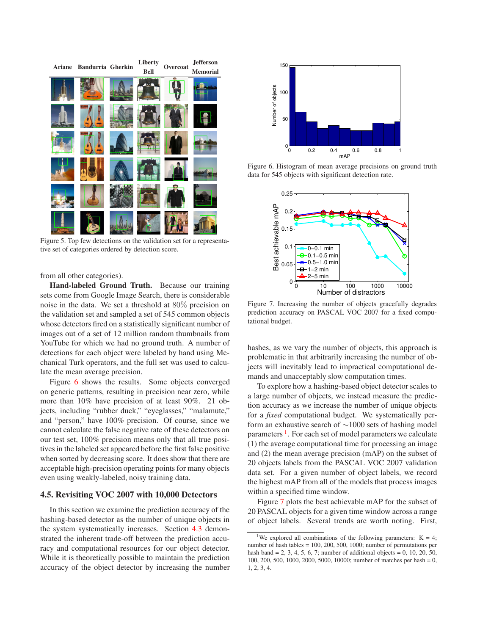

Figure 5. Top few detections on the validation set for a representative set of categories ordered by detection score.

<span id="page-6-0"></span>from all other categories).

**Hand-labeled Ground Truth.** Because our training sets come from Google Image Search, there is considerable noise in the data. We set a threshold at 80% precision on the validation set and sampled a set of 545 common objects whose detectors fired on a statistically significant number of images out of a set of 12 million random thumbnails from YouTube for which we had no ground truth. A number of detections for each object were labeled by hand using Mechanical Turk operators, and the full set was used to calculate the mean average precision.

Figure [6](#page-6-1) shows the results. Some objects converged on generic patterns, resulting in precision near zero, while more than 10% have precision of at least 90%. 21 objects, including "rubber duck," "eyeglasses," "malamute," and "person," have 100% precision. Of course, since we cannot calculate the false negative rate of these detectors on our test set, 100% precision means only that all true positives in the labeled set appeared before the first false positive when sorted by decreasing score. It does show that there are acceptable high-precision operating points for many objects even using weakly-labeled, noisy training data.

### **4.5. Revisiting VOC 2007 with 10,000 Detectors**

In this section we examine the prediction accuracy of the hashing-based detector as the number of unique objects in the system systematically increases. Section [4.3](#page-4-0) demonstrated the inherent trade-off between the prediction accuracy and computational resources for our object detector. While it is theoretically possible to maintain the prediction accuracy of the object detector by increasing the number



<span id="page-6-1"></span>Figure 6. Histogram of mean average precisions on ground truth data for 545 objects with significant detection rate.



<span id="page-6-3"></span>Figure 7. Increasing the number of objects gracefully degrades prediction accuracy on PASCAL VOC 2007 for a fixed computational budget.

hashes, as we vary the number of objects, this approach is problematic in that arbitrarily increasing the number of objects will inevitably lead to impractical computational demands and unacceptably slow computation times.

To explore how a hashing-based object detector scales to a large number of objects, we instead measure the prediction accuracy as we increase the number of unique objects for a *fixed* computational budget. We systematically perform an exhaustive search of ∼1000 sets of hashing model parameters <sup>[1](#page-6-2)</sup>. For each set of model parameters we calculate (1) the average computational time for processing an image and (2) the mean average precision (mAP) on the subset of 20 objects labels from the PASCAL VOC 2007 validation data set. For a given number of object labels, we record the highest mAP from all of the models that process images within a specified time window.

Figure [7](#page-6-3) plots the best achievable mAP for the subset of 20 PASCAL objects for a given time window across a range of object labels. Several trends are worth noting. First,

<span id="page-6-2"></span><sup>&</sup>lt;sup>1</sup>We explored all combinations of the following parameters:  $K = 4$ ; number of hash tables = 100, 200, 500, 1000; number of permutations per hash band = 2, 3, 4, 5, 6, 7; number of additional objects = 0, 10, 20, 50, 100, 200, 500, 1000, 2000, 5000, 10000; number of matches per hash = 0, 1, 2, 3, 4.